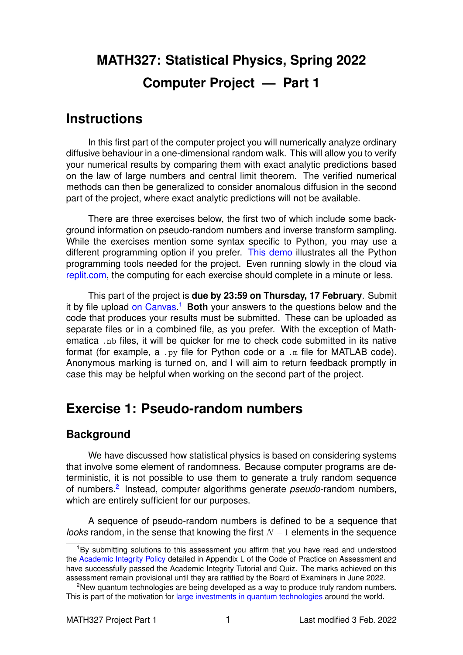# **MATH327: Statistical Physics, Spring 2022 Computer Project — Part 1**

# **Instructions**

In this first part of the computer project you will numerically analyze ordinary diffusive behaviour in a one-dimensional random walk. This will allow you to verify your numerical results by comparing them with exact analytic predictions based on the law of large numbers and central limit theorem. The verified numerical methods can then be generalized to consider anomalous diffusion in the second part of the project, where exact analytic predictions will not be available.

There are three exercises below, the first two of which include some background information on pseudo-random numbers and inverse transform sampling. While the exercises mention some syntax specific to Python, you may use a different programming option if you prefer. [This demo](https://tinyurl.com/math327demo) illustrates all the Python programming tools needed for the project. Even running slowly in the cloud via [replit.com,](https://replit.com/languages/python3) the computing for each exercise should complete in a minute or less.

This part of the project is **due by 23:59 on Thursday, 17 February**. Submit it by file upload [on Canvas.](https://liverpool.instructure.com/courses/47333/assignments/178541) [1](#page-0-0) **Both** your answers to the questions below and the code that produces your results must be submitted. These can be uploaded as separate files or in a combined file, as you prefer. With the exception of Mathematica .nb files, it will be quicker for me to check code submitted in its native format (for example, a .py file for Python code or a .m file for MATLAB code). Anonymous marking is turned on, and I will aim to return feedback promptly in case this may be helpful when working on the second part of the project.

# **Exercise 1: Pseudo-random numbers**

### **Background**

We have discussed how statistical physics is based on considering systems that involve some element of randomness. Because computer programs are deterministic, it is not possible to use them to generate a truly random sequence of numbers.<sup>[2](#page-0-1)</sup> Instead, computer algorithms generate *pseudo*-random numbers, which are entirely sufficient for our purposes.

A sequence of pseudo-random numbers is defined to be a sequence that *looks* random, in the sense that knowing the first  $N - 1$  elements in the sequence

<span id="page-0-0"></span><sup>&</sup>lt;sup>1</sup>By submitting solutions to this assessment you affirm that you have read and understood the [Academic Integrity Policy](https://www.liverpool.ac.uk/media/livacuk/tqsd/code-of-practice-on-assessment/appendix_L_cop_assess.pdf) detailed in Appendix L of the Code of Practice on Assessment and have successfully passed the Academic Integrity Tutorial and Quiz. The marks achieved on this assessment remain provisional until they are ratified by the Board of Examiners in June 2022.

<span id="page-0-1"></span><sup>&</sup>lt;sup>2</sup>New quantum technologies are being developed as a way to produce truly random numbers. This is part of the motivation for [large investments in quantum technologies](https://uknqt.ukri.org) around the world.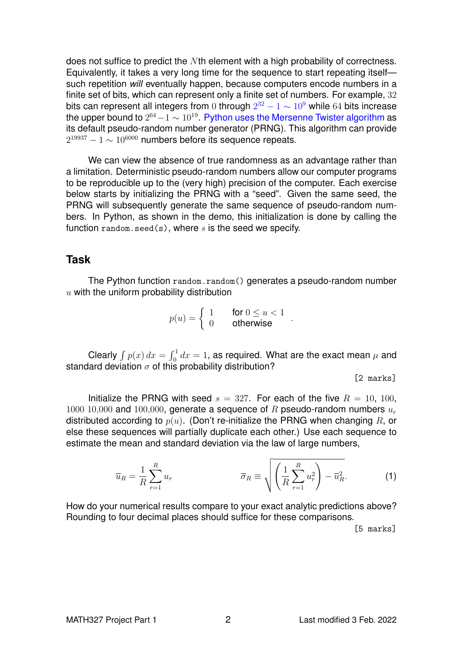does not suffice to predict the Nth element with a high probability of correctness. Equivalently, it takes a very long time for the sequence to start repeating itself such repetition *will* eventually happen, because computers encode numbers in a finite set of bits, which can represent only a finite set of numbers. For example, 32 bits can represent all integers from 0 through  $2^{32} - 1 \sim 10^9$  $2^{32} - 1 \sim 10^9$  $2^{32} - 1 \sim 10^9$  while 64 bits increase the upper bound to  $2^{64}\!-\!1\sim 10^{19}$ . [Python uses the Mersenne Twister algorithm](https://docs.python.org/3/library/random.html) as its default pseudo-random number generator (PRNG). This algorithm can provide  $2^{19937} - 1 \sim 10^{6000}$  numbers before its sequence repeats.

We can view the absence of true randomness as an advantage rather than a limitation. Deterministic pseudo-random numbers allow our computer programs to be reproducible up to the (very high) precision of the computer. Each exercise below starts by initializing the PRNG with a "seed". Given the same seed, the PRNG will subsequently generate the same sequence of pseudo-random numbers. In Python, as shown in the demo, this initialization is done by calling the function random. seed(s), where s is the seed we specify.

#### **Task**

The Python function random.random() generates a pseudo-random number  $u$  with the uniform probability distribution

$$
p(u) = \begin{cases} 1 & \text{for } 0 \le u < 1 \\ 0 & \text{otherwise} \end{cases}.
$$

Clearly  $\int p(x)\,dx=\int_0^1 dx=1,$  as required. What are the exact mean  $\mu$  and standard deviation  $\sigma$  of this probability distribution?

[2 marks]

Initialize the PRNG with seed  $s = 327$ . For each of the five  $R = 10, 100$ , 1000 10,000 and 100,000, generate a sequence of R pseudo-random numbers  $u_r$ distributed according to  $p(u)$ . (Don't re-initialize the PRNG when changing R, or else these sequences will partially duplicate each other.) Use each sequence to estimate the mean and standard deviation via the law of large numbers,

$$
\overline{u}_R = \frac{1}{R} \sum_{r=1}^R u_r \qquad \qquad \overline{\sigma}_R \equiv \sqrt{\left(\frac{1}{R} \sum_{r=1}^R u_r^2\right) - \overline{u}_R^2}.
$$
 (1)

How do your numerical results compare to your exact analytic predictions above? Rounding to four decimal places should suffice for these comparisons.

<span id="page-1-0"></span>[5 marks]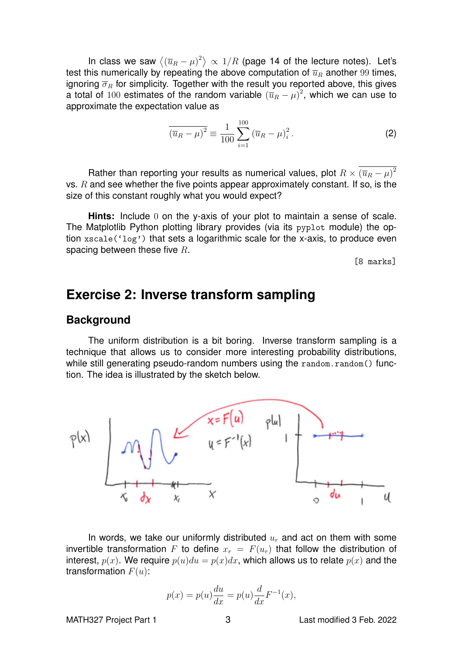In class we saw  $\left\langle\left(\overline{u}_R-\mu\right)^2\right\rangle\propto\,1/R$  (page 14 of the lecture notes). Let's test this numerically by repeating the above computation of  $\overline{u}_R$  another 99 times, ignoring  $\overline{\sigma}_R$  for simplicity. Together with the result you reported above, this gives a total of 100 estimates of the random variable  $(\overline{u}_R - \mu)^2$ , which we can use to approximate the expectation value as

$$
\overline{\left(\overline{u}_R - \mu\right)^2} \equiv \frac{1}{100} \sum_{i=1}^{100} \left(\overline{u}_R - \mu\right)_i^2.
$$
 (2)

Rather than reporting your results as numerical values, plot  $R\times \left(\overline{u}_{R}-\mu\right)^{2}$ vs.  $R$  and see whether the five points appear approximately constant. If so, is the size of this constant roughly what you would expect?

**Hints:** Include 0 on the y-axis of your plot to maintain a sense of scale. The Matplotlib Python plotting library provides (via its pyplot module) the option xscale('log') that sets a logarithmic scale for the x-axis, to produce even spacing between these five  $R$ .

[8 marks]

# **Exercise 2: Inverse transform sampling**

#### **Background**

The uniform distribution is a bit boring. Inverse transform sampling is a technique that allows us to consider more interesting probability distributions, while still generating pseudo-random numbers using the random.random() function. The idea is illustrated by the sketch below.



In words, we take our uniformly distributed  $u_r$  and act on them with some invertible transformation F to define  $x_r = F(u_r)$  that follow the distribution of interest,  $p(x)$ . We require  $p(u)du = p(x)dx$ , which allows us to relate  $p(x)$  and the transformation  $F(u)$ :

$$
p(x) = p(u)\frac{du}{dx} = p(u)\frac{d}{dx}F^{-1}(x),
$$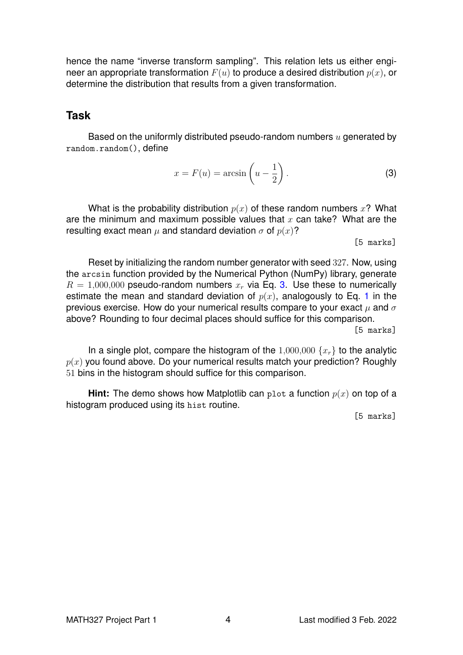hence the name "inverse transform sampling". This relation lets us either engineer an appropriate transformation  $F(u)$  to produce a desired distribution  $p(x)$ , or determine the distribution that results from a given transformation.

#### **Task**

Based on the uniformly distributed pseudo-random numbers  $u$  generated by random.random(), define

<span id="page-3-0"></span>
$$
x = F(u) = \arcsin\left(u - \frac{1}{2}\right). \tag{3}
$$

What is the probability distribution  $p(x)$  of these random numbers x? What are the minimum and maximum possible values that  $x$  can take? What are the resulting exact mean  $\mu$  and standard deviation  $\sigma$  of  $p(x)$ ?

[5 marks]

Reset by initializing the random number generator with seed 327. Now, using the arcsin function provided by the Numerical Python (NumPy) library, generate  $R = 1,000,000$  pseudo-random numbers  $x<sub>r</sub>$  via Eq. [3.](#page-3-0) Use these to numerically estimate the mean and standard deviation of  $p(x)$ , analogously to Eq. [1](#page-1-0) in the previous exercise. How do your numerical results compare to your exact  $\mu$  and  $\sigma$ above? Rounding to four decimal places should suffice for this comparison.

[5 marks]

In a single plot, compare the histogram of the  $1,000,000 \{x_r\}$  to the analytic  $p(x)$  you found above. Do your numerical results match your prediction? Roughly 51 bins in the histogram should suffice for this comparison.

**Hint:** The demo shows how Matplotlib can plot a function  $p(x)$  on top of a histogram produced using its hist routine.

[5 marks]